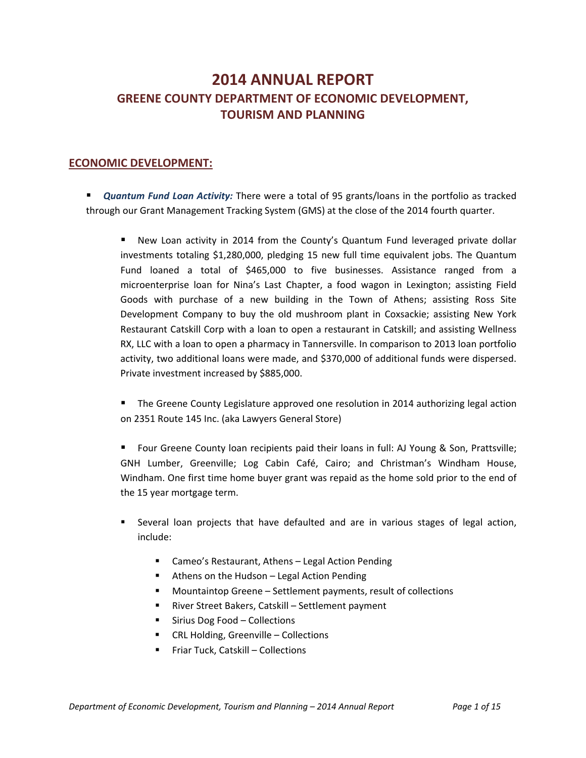# **2014 ANNUAL REPORT GREENE COUNTY DEPARTMENT OF ECONOMIC DEVELOPMENT, TOURISM AND PLANNING**

#### **ECONOMIC DEVELOPMENT:**

 *Quantum Fund Loan Activity:* There were a total of 95 grants/loans in the portfolio as tracked through our Grant Management Tracking System (GMS) at the close of the 2014 fourth quarter.

 New Loan activity in 2014 from the County's Quantum Fund leveraged private dollar investments totaling \$1,280,000, pledging 15 new full time equivalent jobs. The Quantum Fund loaned a total of \$465,000 to five businesses. Assistance ranged from a microenterprise loan for Nina's Last Chapter, a food wagon in Lexington; assisting Field Goods with purchase of a new building in the Town of Athens; assisting Ross Site Development Company to buy the old mushroom plant in Coxsackie; assisting New York Restaurant Catskill Corp with a loan to open a restaurant in Catskill; and assisting Wellness RX, LLC with a loan to open a pharmacy in Tannersville. In comparison to 2013 loan portfolio activity, two additional loans were made, and \$370,000 of additional funds were dispersed. Private investment increased by \$885,000.

 The Greene County Legislature approved one resolution in 2014 authorizing legal action on 2351 Route 145 Inc. (aka Lawyers General Store)

 Four Greene County loan recipients paid their loans in full: AJ Young & Son, Prattsville; GNH Lumber, Greenville; Log Cabin Café, Cairo; and Christman's Windham House, Windham. One first time home buyer grant was repaid as the home sold prior to the end of the 15 year mortgage term.

- Several loan projects that have defaulted and are in various stages of legal action, include:
	- Cameo's Restaurant, Athens Legal Action Pending
	- Athens on the Hudson Legal Action Pending
	- Mountaintop Greene Settlement payments, result of collections
	- River Street Bakers, Catskill Settlement payment
	- Sirius Dog Food Collections
	- CRL Holding, Greenville Collections
	- **FIGM** Friar Tuck, Catskill Collections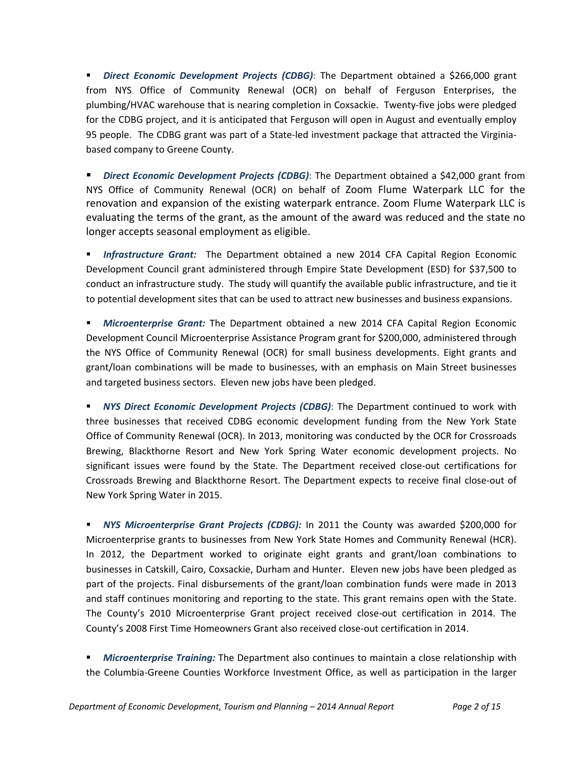*Direct Economic Development Projects (CDBG)*: The Department obtained a \$266,000 grant from NYS Office of Community Renewal (OCR) on behalf of Ferguson Enterprises, the plumbing/HVAC warehouse that is nearing completion in Coxsackie. Twenty‐five jobs were pledged for the CDBG project, and it is anticipated that Ferguson will open in August and eventually employ 95 people. The CDBG grant was part of a State-led investment package that attracted the Virginiabased company to Greene County.

 *Direct Economic Development Projects (CDBG)*: The Department obtained a \$42,000 grant from NYS Office of Community Renewal (OCR) on behalf of Zoom Flume Waterpark LLC for the renovation and expansion of the existing waterpark entrance. Zoom Flume Waterpark LLC is evaluating the terms of the grant, as the amount of the award was reduced and the state no longer accepts seasonal employment as eligible.

 *Infrastructure Grant:* The Department obtained a new 2014 CFA Capital Region Economic Development Council grant administered through Empire State Development (ESD) for \$37,500 to conduct an infrastructure study. The study will quantify the available public infrastructure, and tie it to potential development sites that can be used to attract new businesses and business expansions.

 *Microenterprise Grant:* The Department obtained a new 2014 CFA Capital Region Economic Development Council Microenterprise Assistance Program grant for \$200,000, administered through the NYS Office of Community Renewal (OCR) for small business developments. Eight grants and grant/loan combinations will be made to businesses, with an emphasis on Main Street businesses and targeted business sectors. Eleven new jobs have been pledged.

 *NYS Direct Economic Development Projects (CDBG)*: The Department continued to work with three businesses that received CDBG economic development funding from the New York State Office of Community Renewal (OCR). In 2013, monitoring was conducted by the OCR for Crossroads Brewing, Blackthorne Resort and New York Spring Water economic development projects. No significant issues were found by the State. The Department received close-out certifications for Crossroads Brewing and Blackthorne Resort. The Department expects to receive final close‐out of New York Spring Water in 2015.

 *NYS Microenterprise Grant Projects (CDBG):* In 2011 the County was awarded \$200,000 for Microenterprise grants to businesses from New York State Homes and Community Renewal (HCR). In 2012, the Department worked to originate eight grants and grant/loan combinations to businesses in Catskill, Cairo, Coxsackie, Durham and Hunter. Eleven new jobs have been pledged as part of the projects. Final disbursements of the grant/loan combination funds were made in 2013 and staff continues monitoring and reporting to the state. This grant remains open with the State. The County's 2010 Microenterprise Grant project received close‐out certification in 2014. The County's 2008 First Time Homeowners Grant also received close‐out certification in 2014.

 *Microenterprise Training:* The Department also continues to maintain a close relationship with the Columbia‐Greene Counties Workforce Investment Office, as well as participation in the larger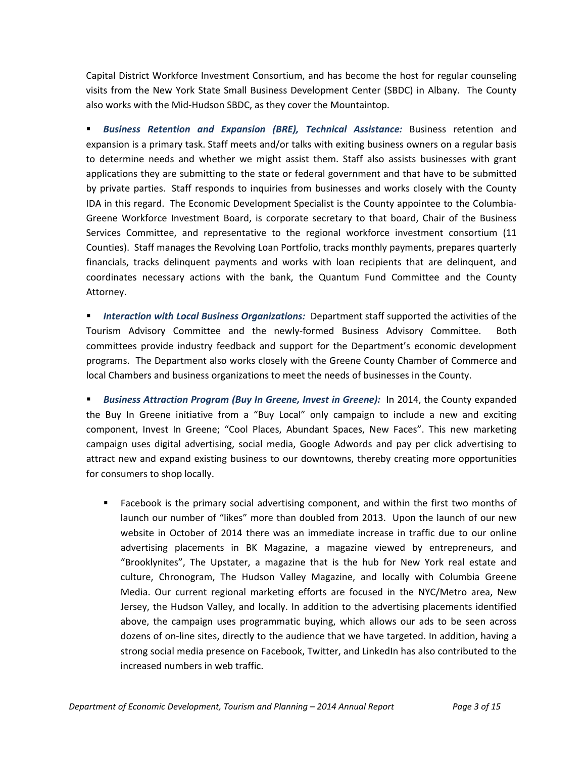Capital District Workforce Investment Consortium, and has become the host for regular counseling visits from the New York State Small Business Development Center (SBDC) in Albany. The County also works with the Mid‐Hudson SBDC, as they cover the Mountaintop.

 *Business Retention and Expansion (BRE), Technical Assistance:* Business retention and expansion is a primary task. Staff meets and/or talks with exiting business owners on a regular basis to determine needs and whether we might assist them. Staff also assists businesses with grant applications they are submitting to the state or federal government and that have to be submitted by private parties. Staff responds to inquiries from businesses and works closely with the County IDA in this regard. The Economic Development Specialist is the County appointee to the Columbia‐ Greene Workforce Investment Board, is corporate secretary to that board, Chair of the Business Services Committee, and representative to the regional workforce investment consortium (11 Counties). Staff manages the Revolving Loan Portfolio, tracks monthly payments, prepares quarterly financials, tracks delinquent payments and works with loan recipients that are delinquent, and coordinates necessary actions with the bank, the Quantum Fund Committee and the County Attorney.

 *Interaction with Local Business Organizations:* Department staff supported the activities of the Tourism Advisory Committee and the newly‐formed Business Advisory Committee. Both committees provide industry feedback and support for the Department's economic development programs. The Department also works closely with the Greene County Chamber of Commerce and local Chambers and business organizations to meet the needs of businesses in the County.

 *Business Attraction Program (Buy In Greene, Invest in Greene):* In 2014, the County expanded the Buy In Greene initiative from a "Buy Local" only campaign to include a new and exciting component, Invest In Greene; "Cool Places, Abundant Spaces, New Faces". This new marketing campaign uses digital advertising, social media, Google Adwords and pay per click advertising to attract new and expand existing business to our downtowns, thereby creating more opportunities for consumers to shop locally.

 Facebook is the primary social advertising component, and within the first two months of launch our number of "likes" more than doubled from 2013. Upon the launch of our new website in October of 2014 there was an immediate increase in traffic due to our online advertising placements in BK Magazine, a magazine viewed by entrepreneurs, and "Brooklynites", The Upstater, a magazine that is the hub for New York real estate and culture, Chronogram, The Hudson Valley Magazine, and locally with Columbia Greene Media. Our current regional marketing efforts are focused in the NYC/Metro area, New Jersey, the Hudson Valley, and locally. In addition to the advertising placements identified above, the campaign uses programmatic buying, which allows our ads to be seen across dozens of on‐line sites, directly to the audience that we have targeted. In addition, having a strong social media presence on Facebook, Twitter, and LinkedIn has also contributed to the increased numbers in web traffic.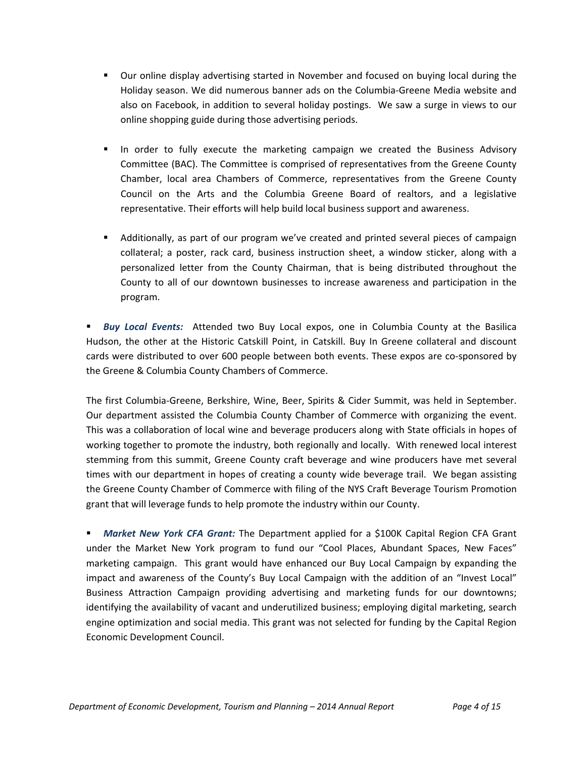- Our online display advertising started in November and focused on buying local during the Holiday season. We did numerous banner ads on the Columbia‐Greene Media website and also on Facebook, in addition to several holiday postings. We saw a surge in views to our online shopping guide during those advertising periods.
- In order to fully execute the marketing campaign we created the Business Advisory Committee (BAC). The Committee is comprised of representatives from the Greene County Chamber, local area Chambers of Commerce, representatives from the Greene County Council on the Arts and the Columbia Greene Board of realtors, and a legislative representative. Their efforts will help build local business support and awareness.
- Additionally, as part of our program we've created and printed several pieces of campaign collateral; a poster, rack card, business instruction sheet, a window sticker, along with a personalized letter from the County Chairman, that is being distributed throughout the County to all of our downtown businesses to increase awareness and participation in the program.

 *Buy Local Events:* Attended two Buy Local expos, one in Columbia County at the Basilica Hudson, the other at the Historic Catskill Point, in Catskill. Buy In Greene collateral and discount cards were distributed to over 600 people between both events. These expos are co‐sponsored by the Greene & Columbia County Chambers of Commerce.

The first Columbia‐Greene, Berkshire, Wine, Beer, Spirits & Cider Summit, was held in September. Our department assisted the Columbia County Chamber of Commerce with organizing the event. This was a collaboration of local wine and beverage producers along with State officials in hopes of working together to promote the industry, both regionally and locally. With renewed local interest stemming from this summit, Greene County craft beverage and wine producers have met several times with our department in hopes of creating a county wide beverage trail. We began assisting the Greene County Chamber of Commerce with filing of the NYS Craft Beverage Tourism Promotion grant that will leverage funds to help promote the industry within our County.

 *Market New York CFA Grant:* The Department applied for a \$100K Capital Region CFA Grant under the Market New York program to fund our "Cool Places, Abundant Spaces, New Faces" marketing campaign. This grant would have enhanced our Buy Local Campaign by expanding the impact and awareness of the County's Buy Local Campaign with the addition of an "Invest Local" Business Attraction Campaign providing advertising and marketing funds for our downtowns; identifying the availability of vacant and underutilized business; employing digital marketing, search engine optimization and social media. This grant was not selected for funding by the Capital Region Economic Development Council.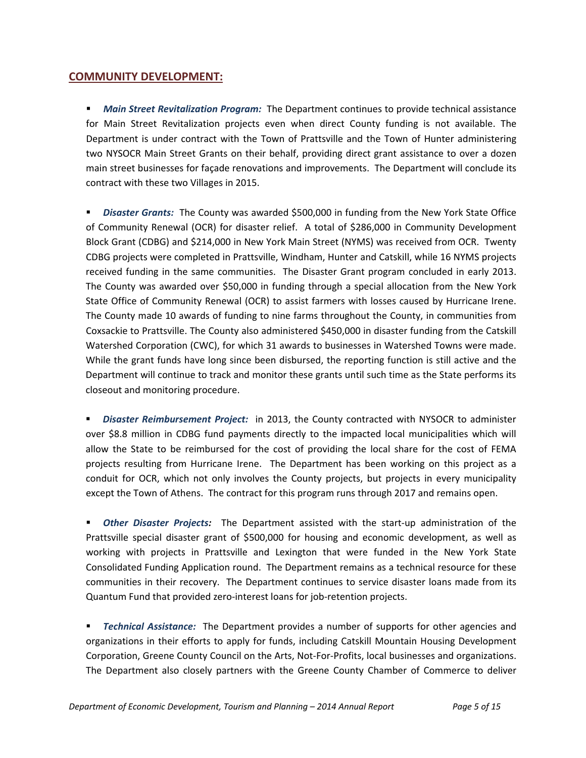#### **COMMUNITY DEVELOPMENT:**

**Main Street Revitalization Program:** The Department continues to provide technical assistance for Main Street Revitalization projects even when direct County funding is not available. The Department is under contract with the Town of Prattsville and the Town of Hunter administering two NYSOCR Main Street Grants on their behalf, providing direct grant assistance to over a dozen main street businesses for façade renovations and improvements. The Department will conclude its contract with these two Villages in 2015.

 *Disaster Grants:* The County was awarded \$500,000 in funding from the New York State Office of Community Renewal (OCR) for disaster relief. A total of \$286,000 in Community Development Block Grant (CDBG) and \$214,000 in New York Main Street (NYMS) was received from OCR. Twenty CDBG projects were completed in Prattsville, Windham, Hunter and Catskill, while 16 NYMS projects received funding in the same communities. The Disaster Grant program concluded in early 2013. The County was awarded over \$50,000 in funding through a special allocation from the New York State Office of Community Renewal (OCR) to assist farmers with losses caused by Hurricane Irene. The County made 10 awards of funding to nine farms throughout the County, in communities from Coxsackie to Prattsville. The County also administered \$450,000 in disaster funding from the Catskill Watershed Corporation (CWC), for which 31 awards to businesses in Watershed Towns were made. While the grant funds have long since been disbursed, the reporting function is still active and the Department will continue to track and monitor these grants until such time as the State performs its closeout and monitoring procedure.

 *Disaster Reimbursement Project:* in 2013, the County contracted with NYSOCR to administer over \$8.8 million in CDBG fund payments directly to the impacted local municipalities which will allow the State to be reimbursed for the cost of providing the local share for the cost of FEMA projects resulting from Hurricane Irene. The Department has been working on this project as a conduit for OCR, which not only involves the County projects, but projects in every municipality except the Town of Athens. The contract for this program runs through 2017 and remains open.

 *Other Disaster Projects:* The Department assisted with the start‐up administration of the Prattsville special disaster grant of \$500,000 for housing and economic development, as well as working with projects in Prattsville and Lexington that were funded in the New York State Consolidated Funding Application round. The Department remains as a technical resource for these communities in their recovery. The Department continues to service disaster loans made from its Quantum Fund that provided zero‐interest loans for job‐retention projects.

 *Technical Assistance:* The Department provides a number of supports for other agencies and organizations in their efforts to apply for funds, including Catskill Mountain Housing Development Corporation, Greene County Council on the Arts, Not‐For‐Profits, local businesses and organizations. The Department also closely partners with the Greene County Chamber of Commerce to deliver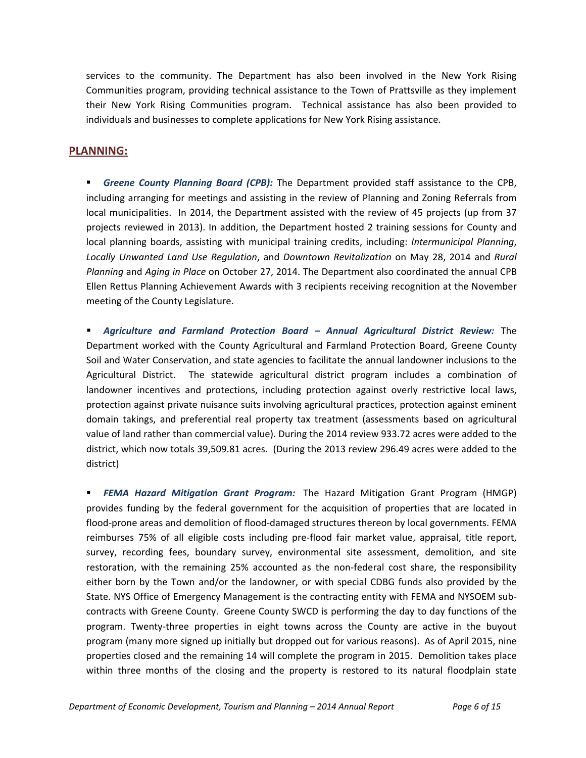services to the community. The Department has also been involved in the New York Rising Communities program, providing technical assistance to the Town of Prattsville as they implement their New York Rising Communities program. Technical assistance has also been provided to individuals and businesses to complete applications for New York Rising assistance.

## **PLANNING:**

 *Greene County Planning Board (CPB):* The Department provided staff assistance to the CPB, including arranging for meetings and assisting in the review of Planning and Zoning Referrals from local municipalities. In 2014, the Department assisted with the review of 45 projects (up from 37 projects reviewed in 2013). In addition, the Department hosted 2 training sessions for County and local planning boards, assisting with municipal training credits, including: *Intermunicipal Planning*, *Locally Unwanted Land Use Regulation*, and *Downtown Revitalization* on May 28, 2014 and *Rural Planning* and *Aging in Place* on October 27, 2014. The Department also coordinated the annual CPB Ellen Rettus Planning Achievement Awards with 3 recipients receiving recognition at the November meeting of the County Legislature.

 *Agriculture and Farmland Protection Board – Annual Agricultural District Review:* The Department worked with the County Agricultural and Farmland Protection Board, Greene County Soil and Water Conservation, and state agencies to facilitate the annual landowner inclusions to the Agricultural District. The statewide agricultural district program includes a combination of landowner incentives and protections, including protection against overly restrictive local laws, protection against private nuisance suits involving agricultural practices, protection against eminent domain takings, and preferential real property tax treatment (assessments based on agricultural value of land rather than commercial value). During the 2014 review 933.72 acres were added to the district, which now totals 39,509.81 acres. (During the 2013 review 296.49 acres were added to the district)

 *FEMA Hazard Mitigation Grant Program:* The Hazard Mitigation Grant Program (HMGP) provides funding by the federal government for the acquisition of properties that are located in flood-prone areas and demolition of flood-damaged structures thereon by local governments. FEMA reimburses 75% of all eligible costs including pre‐flood fair market value, appraisal, title report, survey, recording fees, boundary survey, environmental site assessment, demolition, and site restoration, with the remaining 25% accounted as the non-federal cost share, the responsibility either born by the Town and/or the landowner, or with special CDBG funds also provided by the State. NYS Office of Emergency Management is the contracting entity with FEMA and NYSOEM sub‐ contracts with Greene County. Greene County SWCD is performing the day to day functions of the program. Twenty‐three properties in eight towns across the County are active in the buyout program (many more signed up initially but dropped out for various reasons). As of April 2015, nine properties closed and the remaining 14 will complete the program in 2015. Demolition takes place within three months of the closing and the property is restored to its natural floodplain state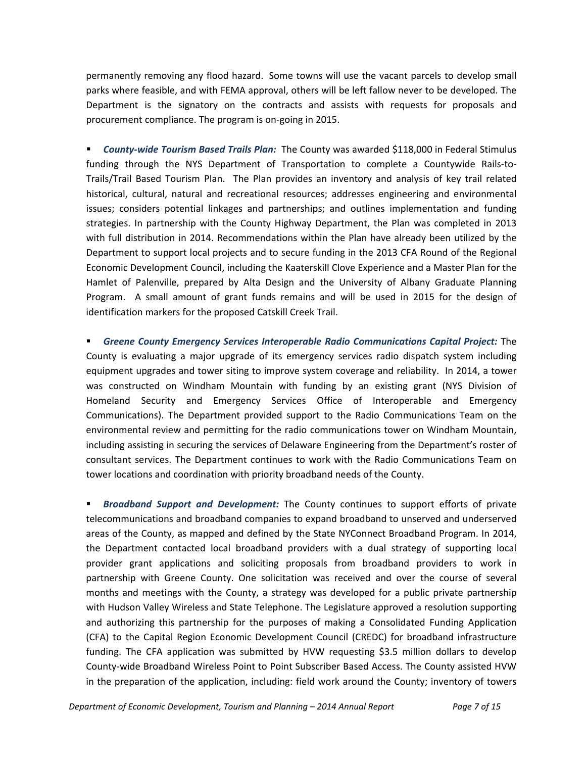permanently removing any flood hazard. Some towns will use the vacant parcels to develop small parks where feasible, and with FEMA approval, others will be left fallow never to be developed. The Department is the signatory on the contracts and assists with requests for proposals and procurement compliance. The program is on‐going in 2015.

 *County‐wide Tourism Based Trails Plan:* The County was awarded \$118,000 in Federal Stimulus funding through the NYS Department of Transportation to complete a Countywide Rails‐to‐ Trails/Trail Based Tourism Plan. The Plan provides an inventory and analysis of key trail related historical, cultural, natural and recreational resources; addresses engineering and environmental issues; considers potential linkages and partnerships; and outlines implementation and funding strategies. In partnership with the County Highway Department, the Plan was completed in 2013 with full distribution in 2014. Recommendations within the Plan have already been utilized by the Department to support local projects and to secure funding in the 2013 CFA Round of the Regional Economic Development Council, including the Kaaterskill Clove Experience and a Master Plan for the Hamlet of Palenville, prepared by Alta Design and the University of Albany Graduate Planning Program. A small amount of grant funds remains and will be used in 2015 for the design of identification markers for the proposed Catskill Creek Trail.

 *Greene County Emergency Services Interoperable Radio Communications Capital Project:* The County is evaluating a major upgrade of its emergency services radio dispatch system including equipment upgrades and tower siting to improve system coverage and reliability.In 2014, a tower was constructed on Windham Mountain with funding by an existing grant (NYS Division of Homeland Security and Emergency Services Office of Interoperable and Emergency Communications). The Department provided support to the Radio Communications Team on the environmental review and permitting for the radio communications tower on Windham Mountain, including assisting in securing the services of Delaware Engineering from the Department's roster of consultant services. The Department continues to work with the Radio Communications Team on tower locations and coordination with priority broadband needs of the County.

 *Broadband Support and Development:* The County continues to support efforts of private telecommunications and broadband companies to expand broadband to unserved and underserved areas of the County, as mapped and defined by the State NYConnect Broadband Program. In 2014, the Department contacted local broadband providers with a dual strategy of supporting local provider grant applications and soliciting proposals from broadband providers to work in partnership with Greene County. One solicitation was received and over the course of several months and meetings with the County, a strategy was developed for a public private partnership with Hudson Valley Wireless and State Telephone. The Legislature approved a resolution supporting and authorizing this partnership for the purposes of making a Consolidated Funding Application (CFA) to the Capital Region Economic Development Council (CREDC) for broadband infrastructure funding. The CFA application was submitted by HVW requesting \$3.5 million dollars to develop County‐wide Broadband Wireless Point to Point Subscriber Based Access. The County assisted HVW in the preparation of the application, including: field work around the County; inventory of towers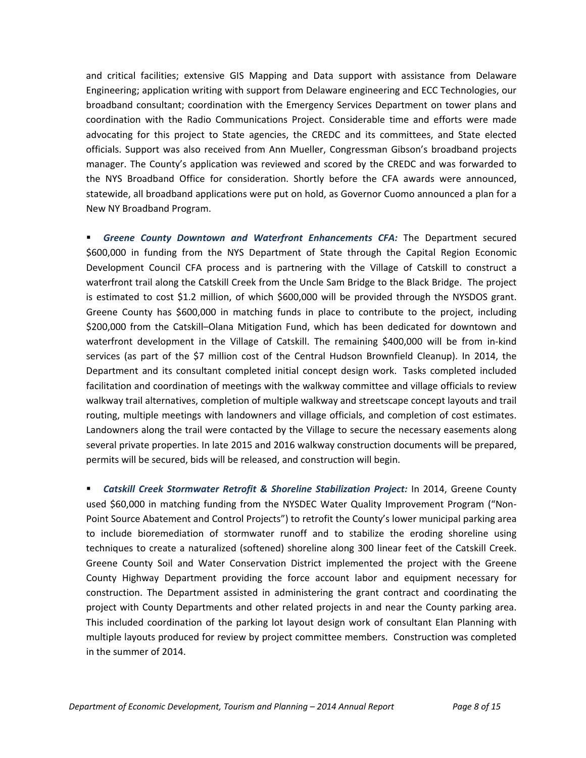and critical facilities; extensive GIS Mapping and Data support with assistance from Delaware Engineering; application writing with support from Delaware engineering and ECC Technologies, our broadband consultant; coordination with the Emergency Services Department on tower plans and coordination with the Radio Communications Project. Considerable time and efforts were made advocating for this project to State agencies, the CREDC and its committees, and State elected officials. Support was also received from Ann Mueller, Congressman Gibson's broadband projects manager. The County's application was reviewed and scored by the CREDC and was forwarded to the NYS Broadband Office for consideration. Shortly before the CFA awards were announced, statewide, all broadband applications were put on hold, as Governor Cuomo announced a plan for a New NY Broadband Program.

 *Greene County Downtown and Waterfront Enhancements CFA:* The Department secured \$600,000 in funding from the NYS Department of State through the Capital Region Economic Development Council CFA process and is partnering with the Village of Catskill to construct a waterfront trail along the Catskill Creek from the Uncle Sam Bridge to the Black Bridge. The project is estimated to cost \$1.2 million, of which \$600,000 will be provided through the NYSDOS grant. Greene County has \$600,000 in matching funds in place to contribute to the project, including \$200,000 from the Catskill–Olana Mitigation Fund, which has been dedicated for downtown and waterfront development in the Village of Catskill. The remaining \$400,000 will be from in‐kind services (as part of the \$7 million cost of the Central Hudson Brownfield Cleanup). In 2014, the Department and its consultant completed initial concept design work. Tasks completed included facilitation and coordination of meetings with the walkway committee and village officials to review walkway trail alternatives, completion of multiple walkway and streetscape concept layouts and trail routing, multiple meetings with landowners and village officials, and completion of cost estimates. Landowners along the trail were contacted by the Village to secure the necessary easements along several private properties. In late 2015 and 2016 walkway construction documents will be prepared, permits will be secured, bids will be released, and construction will begin.

 *Catskill Creek Stormwater Retrofit & Shoreline Stabilization Project:* In 2014, Greene County used \$60,000 in matching funding from the NYSDEC Water Quality Improvement Program ("Non-Point Source Abatement and Control Projects") to retrofit the County's lower municipal parking area to include bioremediation of stormwater runoff and to stabilize the eroding shoreline using techniques to create a naturalized (softened) shoreline along 300 linear feet of the Catskill Creek. Greene County Soil and Water Conservation District implemented the project with the Greene County Highway Department providing the force account labor and equipment necessary for construction. The Department assisted in administering the grant contract and coordinating the project with County Departments and other related projects in and near the County parking area. This included coordination of the parking lot layout design work of consultant Elan Planning with multiple layouts produced for review by project committee members. Construction was completed in the summer of 2014.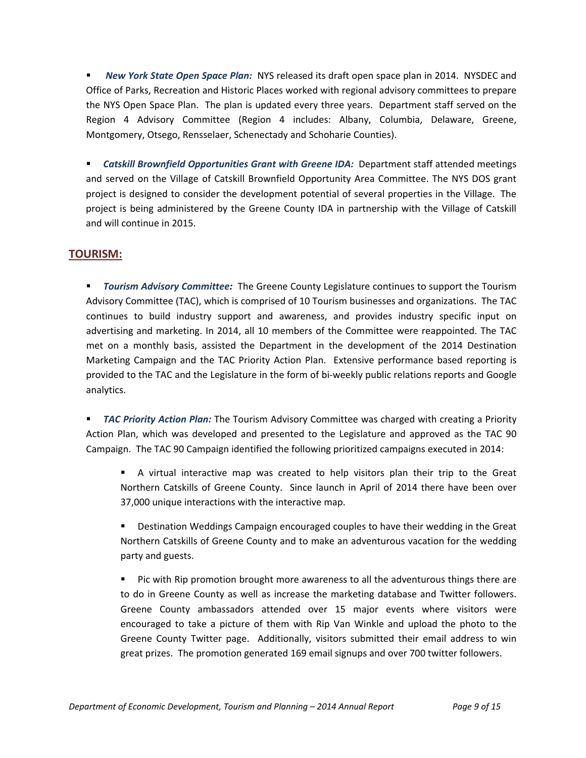*New York State Open Space Plan:* NYS released its draft open space plan in 2014. NYSDEC and Office of Parks, Recreation and Historic Places worked with regional advisory committees to prepare the NYS Open Space Plan. The plan is updated every three years. Department staff served on the Region 4 Advisory Committee (Region 4 includes: Albany, Columbia, Delaware, Greene, Montgomery, Otsego, Rensselaer, Schenectady and Schoharie Counties).

 *Catskill Brownfield Opportunities Grant with Greene IDA:* Department staff attended meetings and served on the Village of Catskill Brownfield Opportunity Area Committee. The NYS DOS grant project is designed to consider the development potential of several properties in the Village. The project is being administered by the Greene County IDA in partnership with the Village of Catskill and will continue in 2015.

## **TOURISM:**

 *Tourism Advisory Committee:* The Greene County Legislature continues to support the Tourism Advisory Committee (TAC), which is comprised of 10 Tourism businesses and organizations. The TAC continues to build industry support and awareness, and provides industry specific input on advertising and marketing. In 2014, all 10 members of the Committee were reappointed. The TAC met on a monthly basis, assisted the Department in the development of the 2014 Destination Marketing Campaign and the TAC Priority Action Plan. Extensive performance based reporting is provided to the TAC and the Legislature in the form of bi-weekly public relations reports and Google analytics.

 *TAC Priority Action Plan:* The Tourism Advisory Committee was charged with creating a Priority Action Plan, which was developed and presented to the Legislature and approved as the TAC 90 Campaign. The TAC 90 Campaign identified the following prioritized campaigns executed in 2014:

 A virtual interactive map was created to help visitors plan their trip to the Great Northern Catskills of Greene County. Since launch in April of 2014 there have been over 37,000 unique interactions with the interactive map.

 Destination Weddings Campaign encouraged couples to have their wedding in the Great Northern Catskills of Greene County and to make an adventurous vacation for the wedding party and guests.

 Pic with Rip promotion brought more awareness to all the adventurous things there are to do in Greene County as well as increase the marketing database and Twitter followers. Greene County ambassadors attended over 15 major events where visitors were encouraged to take a picture of them with Rip Van Winkle and upload the photo to the Greene County Twitter page. Additionally, visitors submitted their email address to win great prizes. The promotion generated 169 email signups and over 700 twitter followers.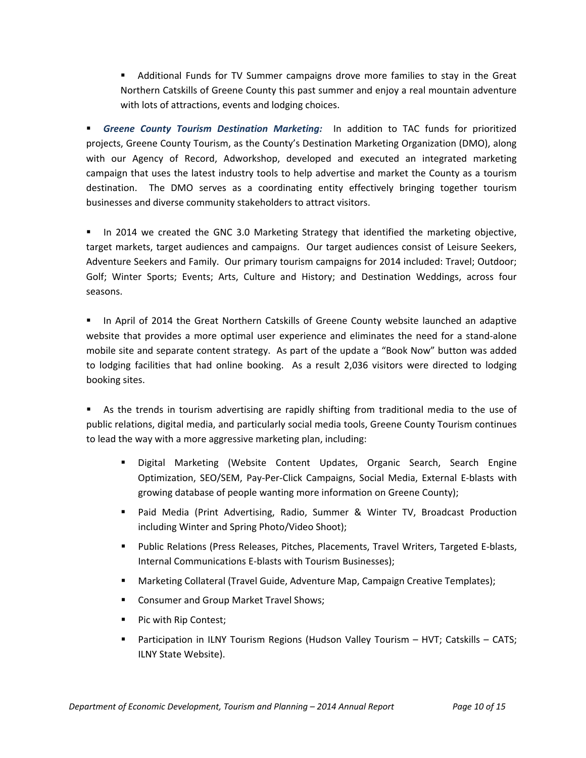Additional Funds for TV Summer campaigns drove more families to stay in the Great Northern Catskills of Greene County this past summer and enjoy a real mountain adventure with lots of attractions, events and lodging choices.

 *Greene County Tourism Destination Marketing:* In addition to TAC funds for prioritized projects, Greene County Tourism, as the County's Destination Marketing Organization (DMO), along with our Agency of Record, Adworkshop, developed and executed an integrated marketing campaign that uses the latest industry tools to help advertise and market the County as a tourism destination. The DMO serves as a coordinating entity effectively bringing together tourism businesses and diverse community stakeholders to attract visitors.

In 2014 we created the GNC 3.0 Marketing Strategy that identified the marketing objective, target markets, target audiences and campaigns. Our target audiences consist of Leisure Seekers, Adventure Seekers and Family. Our primary tourism campaigns for 2014 included: Travel; Outdoor; Golf; Winter Sports; Events; Arts, Culture and History; and Destination Weddings, across four seasons.

**IF In April of 2014 the Great Northern Catskills of Greene County website launched an adaptive** website that provides a more optimal user experience and eliminates the need for a stand-alone mobile site and separate content strategy. As part of the update a "Book Now" button was added to lodging facilities that had online booking. As a result 2,036 visitors were directed to lodging booking sites.

 As the trends in tourism advertising are rapidly shifting from traditional media to the use of public relations, digital media, and particularly social media tools, Greene County Tourism continues to lead the way with a more aggressive marketing plan, including:

- Digital Marketing (Website Content Updates, Organic Search, Search Engine Optimization, SEO/SEM, Pay‐Per‐Click Campaigns, Social Media, External E‐blasts with growing database of people wanting more information on Greene County);
- Paid Media (Print Advertising, Radio, Summer & Winter TV, Broadcast Production including Winter and Spring Photo/Video Shoot);
- Public Relations (Press Releases, Pitches, Placements, Travel Writers, Targeted E-blasts, Internal Communications E‐blasts with Tourism Businesses);
- Marketing Collateral (Travel Guide, Adventure Map, Campaign Creative Templates);
- **EXP** Consumer and Group Market Travel Shows;
- Pic with Rip Contest;
- Participation in ILNY Tourism Regions (Hudson Valley Tourism HVT; Catskills CATS; ILNY State Website).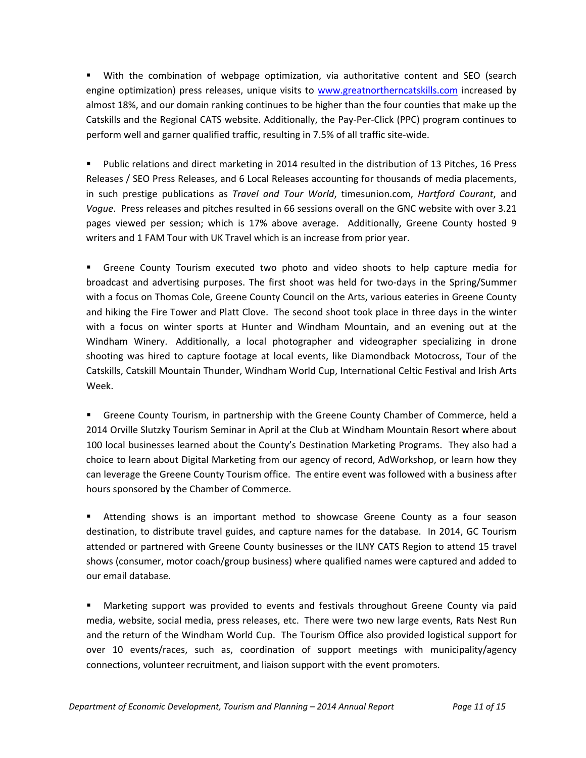With the combination of webpage optimization, via authoritative content and SEO (search engine optimization) press releases, unique visits to [www.greatnortherncatskills.com](http://www.greatnortherncatskills.com/) increased by almost 18%, and our domain ranking continues to be higher than the four counties that make up the Catskills and the Regional CATS website. Additionally, the Pay‐Per‐Click (PPC) program continues to perform well and garner qualified traffic, resulting in 7.5% of all traffic site-wide.

 Public relations and direct marketing in 2014 resulted in the distribution of 13 Pitches, 16 Press Releases / SEO Press Releases, and 6 Local Releases accounting for thousands of media placements, in such prestige publications as *Travel and Tour World*, timesunion.com, *Hartford Courant*, and *Vogue*. Press releases and pitches resulted in 66 sessions overall on the GNC website with over 3.21 pages viewed per session; which is 17% above average. Additionally, Greene County hosted 9 writers and 1 FAM Tour with UK Travel which is an increase from prior year.

 Greene County Tourism executed two photo and video shoots to help capture media for broadcast and advertising purposes. The first shoot was held for two‐days in the Spring/Summer with a focus on Thomas Cole, Greene County Council on the Arts, various eateries in Greene County and hiking the Fire Tower and Platt Clove. The second shoot took place in three days in the winter with a focus on winter sports at Hunter and Windham Mountain, and an evening out at the Windham Winery. Additionally, a local photographer and videographer specializing in drone shooting was hired to capture footage at local events, like Diamondback Motocross, Tour of the Catskills, Catskill Mountain Thunder, Windham World Cup, International Celtic Festival and Irish Arts Week.

 Greene County Tourism, in partnership with the Greene County Chamber of Commerce, held a 2014 Orville Slutzky Tourism Seminar in April at the Club at Windham Mountain Resort where about 100 local businesses learned about the County's Destination Marketing Programs. They also had a choice to learn about Digital Marketing from our agency of record, AdWorkshop, or learn how they can leverage the Greene County Tourism office. The entire event was followed with a business after hours sponsored by the Chamber of Commerce.

 Attending shows is an important method to showcase Greene County as a four season destination, to distribute travel guides, and capture names for the database. In 2014, GC Tourism attended or partnered with Greene County businesses or the ILNY CATS Region to attend 15 travel shows (consumer, motor coach/group business) where qualified names were captured and added to our email database.

 Marketing support was provided to events and festivals throughout Greene County via paid media, website, social media, press releases, etc. There were two new large events, Rats Nest Run and the return of the Windham World Cup. The Tourism Office also provided logistical support for over 10 events/races, such as, coordination of support meetings with municipality/agency connections, volunteer recruitment, and liaison support with the event promoters.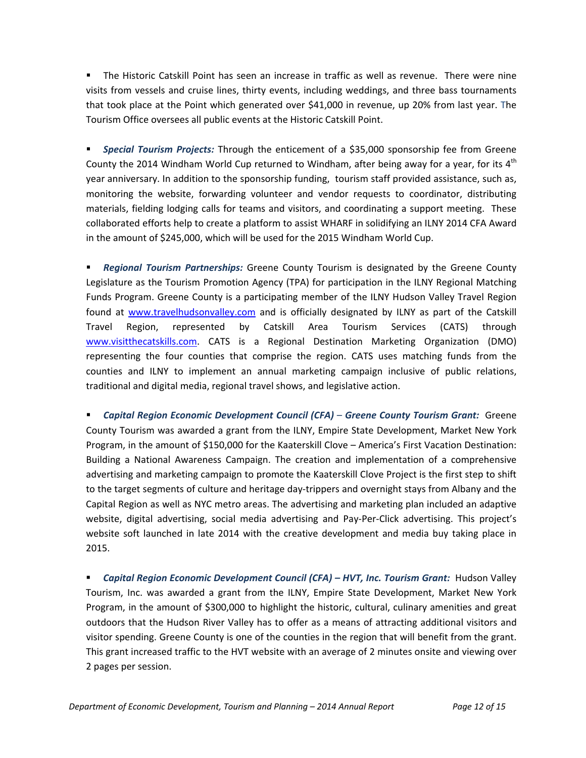The Historic Catskill Point has seen an increase in traffic as well as revenue. There were nine visits from vessels and cruise lines, thirty events, including weddings, and three bass tournaments that took place at the Point which generated over \$41,000 in revenue, up 20% from last year. The Tourism Office oversees all public events at the Historic Catskill Point.

 *Special Tourism Projects:* Through the enticement of a \$35,000 sponsorship fee from Greene County the 2014 Windham World Cup returned to Windham, after being away for a year, for its  $4<sup>th</sup>$ year anniversary. In addition to the sponsorship funding, tourism staff provided assistance, such as, monitoring the website, forwarding volunteer and vendor requests to coordinator, distributing materials, fielding lodging calls for teams and visitors, and coordinating a support meeting. These collaborated efforts help to create a platform to assist WHARF in solidifying an ILNY 2014 CFA Award in the amount of \$245,000, which will be used for the 2015 Windham World Cup.

 *Regional Tourism Partnerships:* Greene County Tourism is designated by the Greene County Legislature as the Tourism Promotion Agency (TPA) for participation in the ILNY Regional Matching Funds Program. Greene County is a participating member of the ILNY Hudson Valley Travel Region found at [www.travelhudsonvalley.com](http://www.travelhudsonvalley.com/) and is officially designated by ILNY as part of the Catskill Travel Region, represented by Catskill Area Tourism Services (CATS) through [www.visitthecatskills.com](http://www.visitthecatskills.com/). CATS is a Regional Destination Marketing Organization (DMO) representing the four counties that comprise the region. CATS uses matching funds from the counties and ILNY to implement an annual marketing campaign inclusive of public relations, traditional and digital media, regional travel shows, and legislative action.

 *Capital Region Economic Development Council (CFA)* – *Greene County Tourism Grant:* Greene County Tourism was awarded a grant from the ILNY, Empire State Development, Market New York Program, in the amount of \$150,000 for the Kaaterskill Clove – America's First Vacation Destination: Building a National Awareness Campaign. The creation and implementation of a comprehensive advertising and marketing campaign to promote the Kaaterskill Clove Project is the first step to shift to the target segments of culture and heritage day‐trippers and overnight stays from Albany and the Capital Region as well as NYC metro areas. The advertising and marketing plan included an adaptive website, digital advertising, social media advertising and Pay-Per-Click advertising. This project's website soft launched in late 2014 with the creative development and media buy taking place in 2015.

 *Capital Region Economic Development Council (CFA) – HVT, Inc. Tourism Grant:* Hudson Valley Tourism, Inc. was awarded a grant from the ILNY, Empire State Development, Market New York Program, in the amount of \$300,000 to highlight the historic, cultural, culinary amenities and great outdoors that the Hudson River Valley has to offer as a means of attracting additional visitors and visitor spending. Greene County is one of the counties in the region that will benefit from the grant. This grant increased traffic to the HVT website with an average of 2 minutes onsite and viewing over 2 pages per session.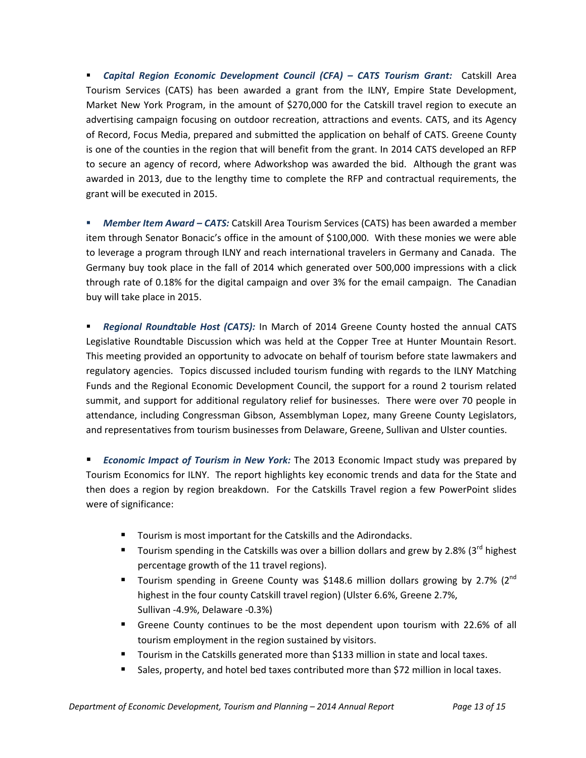*Capital Region Economic Development Council (CFA) – CATS Tourism Grant:* Catskill Area Tourism Services (CATS) has been awarded a grant from the ILNY, Empire State Development, Market New York Program, in the amount of \$270,000 for the Catskill travel region to execute an advertising campaign focusing on outdoor recreation, attractions and events. CATS, and its Agency of Record, Focus Media, prepared and submitted the application on behalf of CATS. Greene County is one of the counties in the region that will benefit from the grant. In 2014 CATS developed an RFP to secure an agency of record, where Adworkshop was awarded the bid. Although the grant was awarded in 2013, due to the lengthy time to complete the RFP and contractual requirements, the grant will be executed in 2015.

 *Member Item Award – CATS:* Catskill Area Tourism Services (CATS) has been awarded a member item through Senator Bonacic's office in the amount of \$100,000. With these monies we were able to leverage a program through ILNY and reach international travelers in Germany and Canada. The Germany buy took place in the fall of 2014 which generated over 500,000 impressions with a click through rate of 0.18% for the digital campaign and over 3% for the email campaign. The Canadian buy will take place in 2015.

 *Regional Roundtable Host (CATS):* In March of 2014 Greene County hosted the annual CATS Legislative Roundtable Discussion which was held at the Copper Tree at Hunter Mountain Resort. This meeting provided an opportunity to advocate on behalf of tourism before state lawmakers and regulatory agencies. Topics discussed included tourism funding with regards to the ILNY Matching Funds and the Regional Economic Development Council, the support for a round 2 tourism related summit, and support for additional regulatory relief for businesses. There were over 70 people in attendance, including Congressman Gibson, Assemblyman Lopez, many Greene County Legislators, and representatives from tourism businesses from Delaware, Greene, Sullivan and Ulster counties.

 *Economic Impact of Tourism in New York:* The 2013 Economic Impact study was prepared by Tourism Economics for ILNY. The report highlights key economic trends and data for the State and then does a region by region breakdown. For the Catskills Travel region a few PowerPoint slides were of significance:

- Tourism is most important for the Catskills and the Adirondacks.
- Tourism spending in the Catskills was over a billion dollars and grew by 2.8% (3 $^{rd}$  highest percentage growth of the 11 travel regions).
- Tourism spending in Greene County was \$148.6 million dollars growing by 2.7% ( $2^{nd}$ ) highest in the four county Catskill travel region) (Ulster 6.6%, Greene 2.7%, Sullivan ‐4.9%, Delaware ‐0.3%)
- Greene County continues to be the most dependent upon tourism with 22.6% of all tourism employment in the region sustained by visitors.
- Tourism in the Catskills generated more than \$133 million in state and local taxes.
- Sales, property, and hotel bed taxes contributed more than \$72 million in local taxes.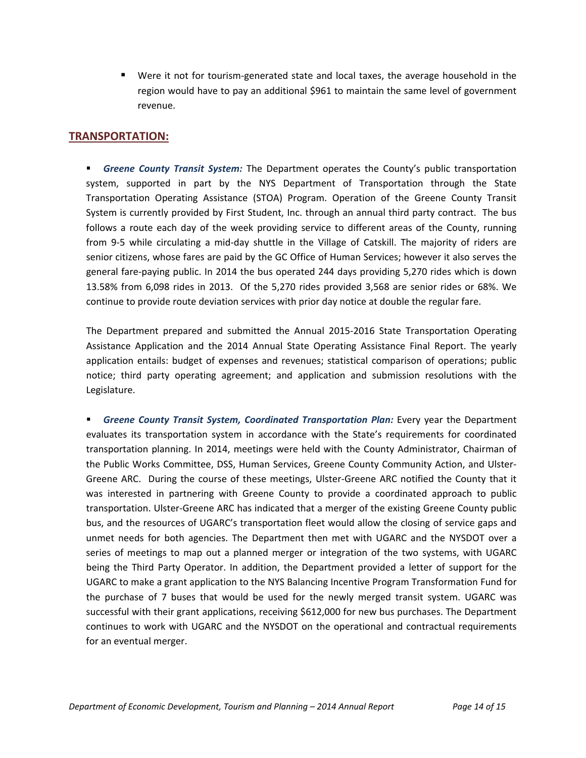■ Were it not for tourism-generated state and local taxes, the average household in the region would have to pay an additional \$961 to maintain the same level of government revenue.

## **TRANSPORTATION:**

 *Greene County Transit System:* The Department operates the County's public transportation system, supported in part by the NYS Department of Transportation through the State Transportation Operating Assistance (STOA) Program. Operation of the Greene County Transit System is currently provided by First Student, Inc. through an annual third party contract. The bus follows a route each day of the week providing service to different areas of the County, running from 9-5 while circulating a mid-day shuttle in the Village of Catskill. The majority of riders are senior citizens, whose fares are paid by the GC Office of Human Services; however it also serves the general fare‐paying public. In 2014 the bus operated 244 days providing 5,270 rides which is down 13.58% from 6,098 rides in 2013. Of the 5,270 rides provided 3,568 are senior rides or 68%. We continue to provide route deviation services with prior day notice at double the regular fare.

The Department prepared and submitted the Annual 2015‐2016 State Transportation Operating Assistance Application and the 2014 Annual State Operating Assistance Final Report. The yearly application entails: budget of expenses and revenues; statistical comparison of operations; public notice; third party operating agreement; and application and submission resolutions with the Legislature.

 *Greene County Transit System, Coordinated Transportation Plan:* Every year the Department evaluates its transportation system in accordance with the State's requirements for coordinated transportation planning. In 2014, meetings were held with the County Administrator, Chairman of the Public Works Committee, DSS, Human Services, Greene County Community Action, and Ulster‐ Greene ARC. During the course of these meetings, Ulster-Greene ARC notified the County that it was interested in partnering with Greene County to provide a coordinated approach to public transportation. Ulster‐Greene ARC has indicated that a merger of the existing Greene County public bus, and the resources of UGARC's transportation fleet would allow the closing of service gaps and unmet needs for both agencies. The Department then met with UGARC and the NYSDOT over a series of meetings to map out a planned merger or integration of the two systems, with UGARC being the Third Party Operator. In addition, the Department provided a letter of support for the UGARC to make a grant application to the NYS Balancing Incentive Program Transformation Fund for the purchase of 7 buses that would be used for the newly merged transit system. UGARC was successful with their grant applications, receiving \$612,000 for new bus purchases. The Department continues to work with UGARC and the NYSDOT on the operational and contractual requirements for an eventual merger.